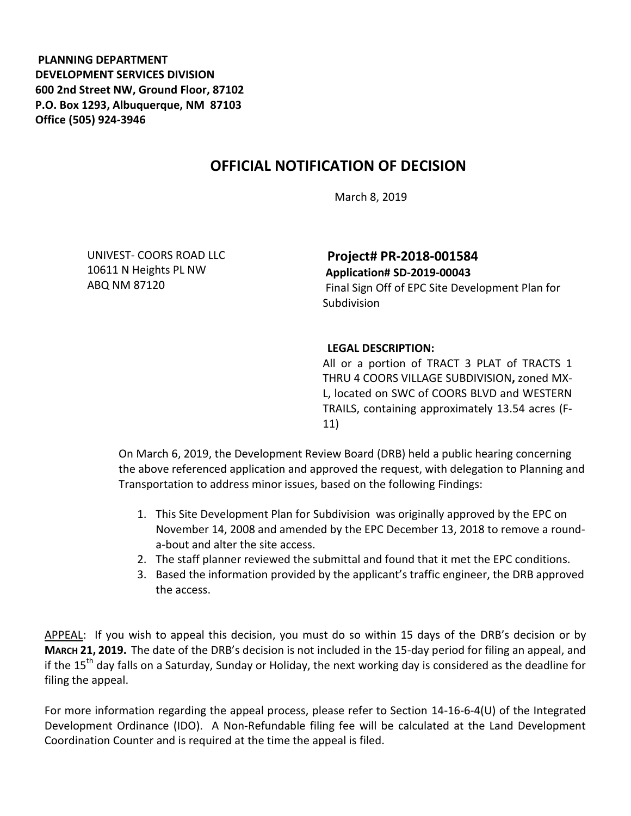**PLANNING DEPARTMENT DEVELOPMENT SERVICES DIVISION 600 2nd Street NW, Ground Floor, 87102 P.O. Box 1293, Albuquerque, NM 87103 Office (505) 924-3946** 

## **OFFICIAL NOTIFICATION OF DECISION**

March 8, 2019

UNIVEST- COORS ROAD LLC 10611 N Heights PL NW ABQ NM 87120

**Project# PR-2018-001584 Application# SD-2019-00043** 

Final Sign Off of EPC Site Development Plan for Subdivision

## **LEGAL DESCRIPTION:**

All or a portion of TRACT 3 PLAT of TRACTS 1 THRU 4 COORS VILLAGE SUBDIVISION**,** zoned MX-L, located on SWC of COORS BLVD and WESTERN TRAILS, containing approximately 13.54 acres (F-11)

On March 6, 2019, the Development Review Board (DRB) held a public hearing concerning the above referenced application and approved the request, with delegation to Planning and Transportation to address minor issues, based on the following Findings:

- 1. This Site Development Plan for Subdivision was originally approved by the EPC on November 14, 2008 and amended by the EPC December 13, 2018 to remove a rounda-bout and alter the site access.
- 2. The staff planner reviewed the submittal and found that it met the EPC conditions.
- 3. Based the information provided by the applicant's traffic engineer, the DRB approved the access.

APPEAL: If you wish to appeal this decision, you must do so within 15 days of the DRB's decision or by **MARCH 21, 2019.** The date of the DRB's decision is not included in the 15-day period for filing an appeal, and if the 15<sup>th</sup> day falls on a Saturday, Sunday or Holiday, the next working day is considered as the deadline for filing the appeal.

For more information regarding the appeal process, please refer to Section 14-16-6-4(U) of the Integrated Development Ordinance (IDO). A Non-Refundable filing fee will be calculated at the Land Development Coordination Counter and is required at the time the appeal is filed.